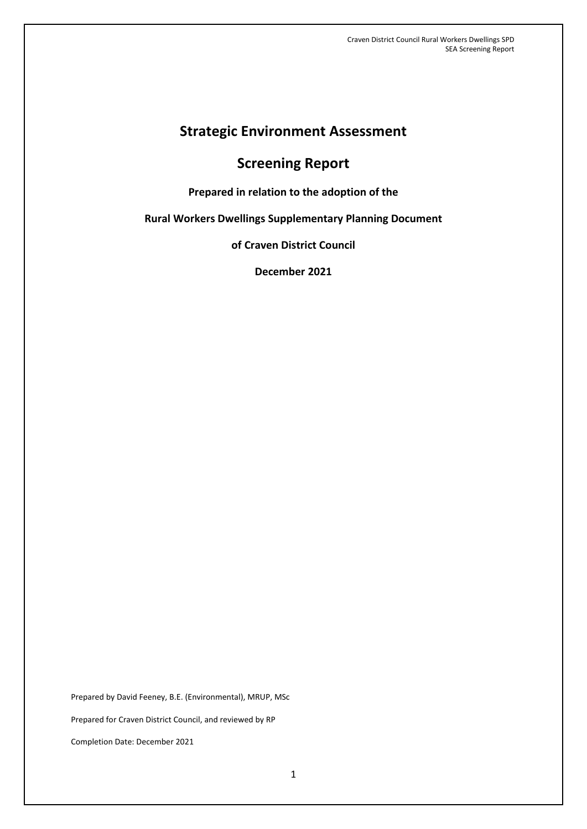# **Strategic Environment Assessment**

# **Screening Report**

**Prepared in relation to the adoption of the** 

**Rural Workers Dwellings Supplementary Planning Document**

**of Craven District Council**

**December 2021**

Prepared by David Feeney, B.E. (Environmental), MRUP, MSc Prepared for Craven District Council, and reviewed by RP Completion Date: December 2021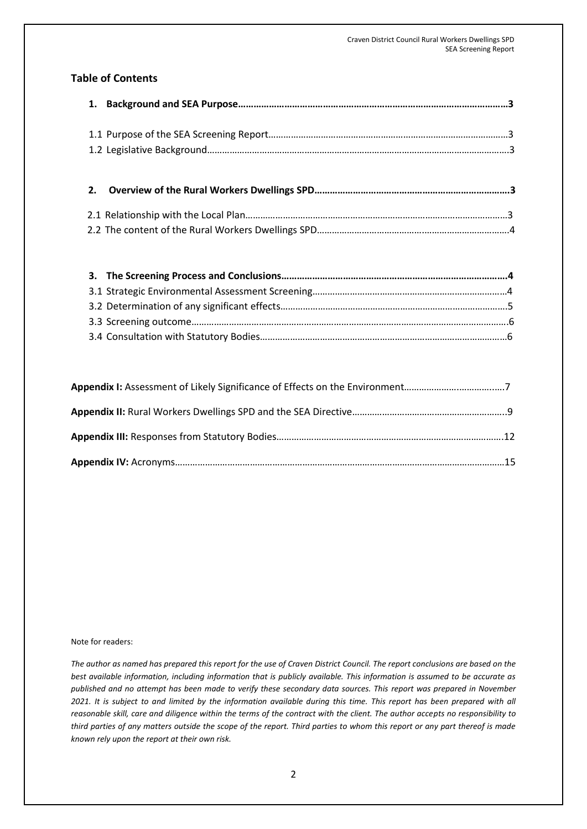## **Table of Contents**

#### Note for readers:

*The author as named has prepared this report for the use of Craven District Council. The report conclusions are based on the best available information, including information that is publicly available. This information is assumed to be accurate as published and no attempt has been made to verify these secondary data sources. This report was prepared in November 2021. It is subject to and limited by the information available during this time. This report has been prepared with all reasonable skill, care and diligence within the terms of the contract with the client. The author accepts no responsibility to third parties of any matters outside the scope of the report. Third parties to whom this report or any part thereof is made known rely upon the report at their own risk.*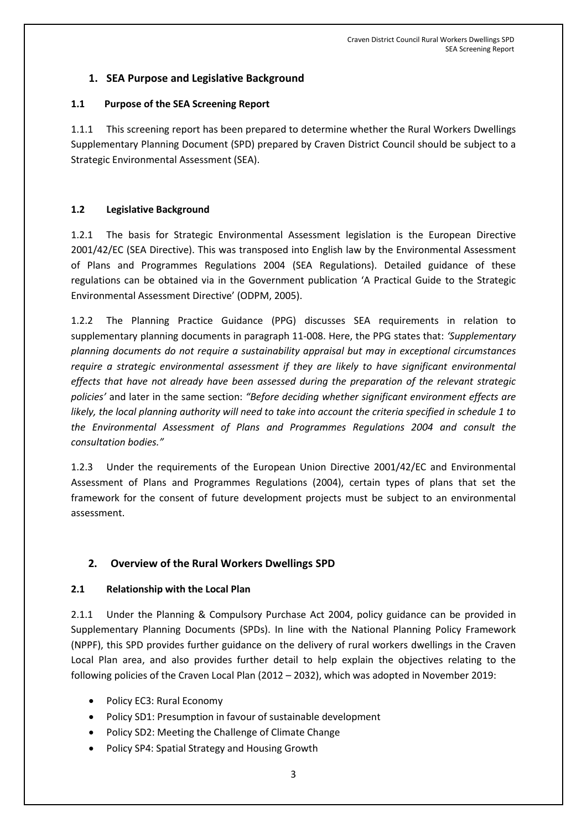## **1. SEA Purpose and Legislative Background**

### **1.1 Purpose of the SEA Screening Report**

1.1.1 This screening report has been prepared to determine whether the Rural Workers Dwellings Supplementary Planning Document (SPD) prepared by Craven District Council should be subject to a Strategic Environmental Assessment (SEA).

## **1.2 Legislative Background**

1.2.1 The basis for Strategic Environmental Assessment legislation is the European Directive 2001/42/EC (SEA Directive). This was transposed into English law by the Environmental Assessment of Plans and Programmes Regulations 2004 (SEA Regulations). Detailed guidance of these regulations can be obtained via in the Government publication 'A Practical Guide to the Strategic Environmental Assessment Directive' (ODPM, 2005).

1.2.2 The Planning Practice Guidance (PPG) discusses SEA requirements in relation to supplementary planning documents in paragraph 11-008. Here, the PPG states that: *'Supplementary planning documents do not require a sustainability appraisal but may in exceptional circumstances require a strategic environmental assessment if they are likely to have significant environmental effects that have not already have been assessed during the preparation of the relevant strategic policies'* and later in the same section: *"Before deciding whether significant environment effects are likely, the local planning authority will need to take into account the criteria specified in schedule 1 to the Environmental Assessment of Plans and Programmes Regulations 2004 and consult the consultation bodies."*

1.2.3 Under the requirements of the European Union Directive 2001/42/EC and Environmental Assessment of Plans and Programmes Regulations (2004), certain types of plans that set the framework for the consent of future development projects must be subject to an environmental assessment.

## **2. Overview of the Rural Workers Dwellings SPD**

#### **2.1 Relationship with the Local Plan**

2.1.1 Under the Planning & Compulsory Purchase Act 2004, policy guidance can be provided in Supplementary Planning Documents (SPDs). In line with the National Planning Policy Framework (NPPF), this SPD provides further guidance on the delivery of rural workers dwellings in the Craven Local Plan area, and also provides further detail to help explain the objectives relating to the following policies of the Craven Local Plan (2012 – 2032), which was adopted in November 2019:

- Policy EC3: Rural Economy
- Policy SD1: Presumption in favour of sustainable development
- Policy SD2: Meeting the Challenge of Climate Change
- Policy SP4: Spatial Strategy and Housing Growth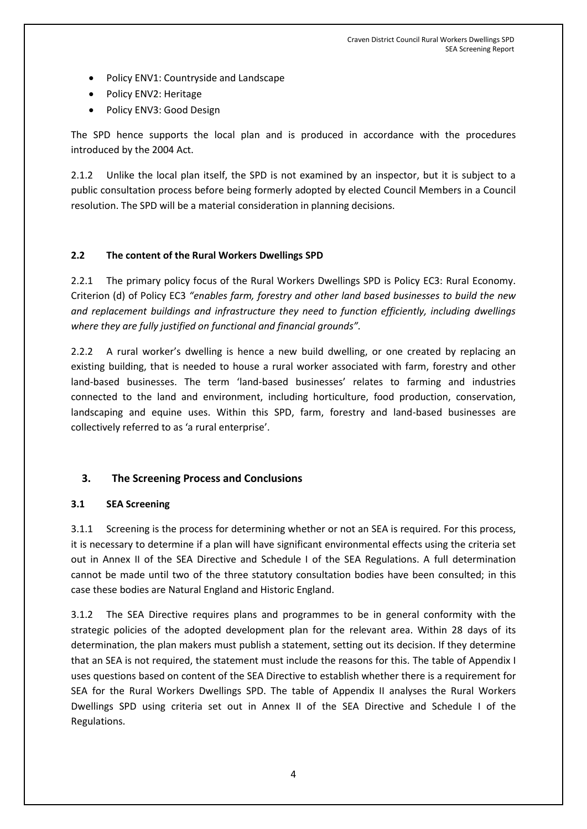- Policy ENV1: Countryside and Landscape
- Policy ENV2: Heritage
- Policy ENV3: Good Design

The SPD hence supports the local plan and is produced in accordance with the procedures introduced by the 2004 Act.

2.1.2 Unlike the local plan itself, the SPD is not examined by an inspector, but it is subject to a public consultation process before being formerly adopted by elected Council Members in a Council resolution. The SPD will be a material consideration in planning decisions.

### **2.2 The content of the Rural Workers Dwellings SPD**

2.2.1 The primary policy focus of the Rural Workers Dwellings SPD is Policy EC3: Rural Economy. Criterion (d) of Policy EC3 *"enables farm, forestry and other land based businesses to build the new and replacement buildings and infrastructure they need to function efficiently, including dwellings where they are fully justified on functional and financial grounds".*

2.2.2 A rural worker's dwelling is hence a new build dwelling, or one created by replacing an existing building, that is needed to house a rural worker associated with farm, forestry and other land-based businesses. The term 'land-based businesses' relates to farming and industries connected to the land and environment, including horticulture, food production, conservation, landscaping and equine uses. Within this SPD, farm, forestry and land-based businesses are collectively referred to as 'a rural enterprise'.

## **3. The Screening Process and Conclusions**

#### **3.1 SEA Screening**

3.1.1 Screening is the process for determining whether or not an SEA is required. For this process, it is necessary to determine if a plan will have significant environmental effects using the criteria set out in Annex II of the SEA Directive and Schedule I of the SEA Regulations. A full determination cannot be made until two of the three statutory consultation bodies have been consulted; in this case these bodies are Natural England and Historic England.

3.1.2 The SEA Directive requires plans and programmes to be in general conformity with the strategic policies of the adopted development plan for the relevant area. Within 28 days of its determination, the plan makers must publish a statement, setting out its decision. If they determine that an SEA is not required, the statement must include the reasons for this. The table of Appendix I uses questions based on content of the SEA Directive to establish whether there is a requirement for SEA for the Rural Workers Dwellings SPD. The table of Appendix II analyses the Rural Workers Dwellings SPD using criteria set out in Annex II of the SEA Directive and Schedule I of the Regulations.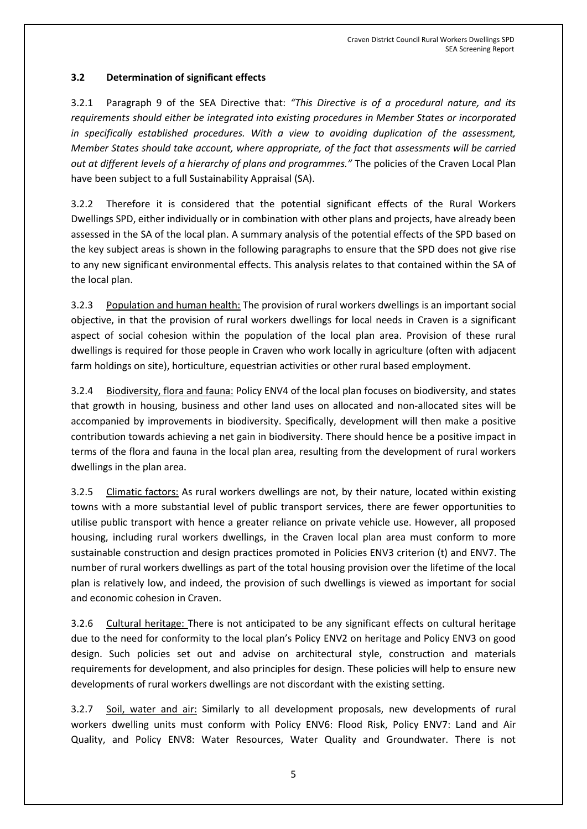### **3.2 Determination of significant effects**

3.2.1 Paragraph 9 of the SEA Directive that: *"This Directive is of a procedural nature, and its requirements should either be integrated into existing procedures in Member States or incorporated in specifically established procedures. With a view to avoiding duplication of the assessment, Member States should take account, where appropriate, of the fact that assessments will be carried out at different levels of a hierarchy of plans and programmes."* The policies of the Craven Local Plan have been subject to a full Sustainability Appraisal (SA).

3.2.2 Therefore it is considered that the potential significant effects of the Rural Workers Dwellings SPD, either individually or in combination with other plans and projects, have already been assessed in the SA of the local plan. A summary analysis of the potential effects of the SPD based on the key subject areas is shown in the following paragraphs to ensure that the SPD does not give rise to any new significant environmental effects. This analysis relates to that contained within the SA of the local plan.

3.2.3 Population and human health: The provision of rural workers dwellings is an important social objective, in that the provision of rural workers dwellings for local needs in Craven is a significant aspect of social cohesion within the population of the local plan area. Provision of these rural dwellings is required for those people in Craven who work locally in agriculture (often with adjacent farm holdings on site), horticulture, equestrian activities or other rural based employment.

3.2.4 Biodiversity, flora and fauna: Policy ENV4 of the local plan focuses on biodiversity, and states that growth in housing, business and other land uses on allocated and non-allocated sites will be accompanied by improvements in biodiversity. Specifically, development will then make a positive contribution towards achieving a net gain in biodiversity. There should hence be a positive impact in terms of the flora and fauna in the local plan area, resulting from the development of rural workers dwellings in the plan area.

3.2.5 Climatic factors: As rural workers dwellings are not, by their nature, located within existing towns with a more substantial level of public transport services, there are fewer opportunities to utilise public transport with hence a greater reliance on private vehicle use. However, all proposed housing, including rural workers dwellings, in the Craven local plan area must conform to more sustainable construction and design practices promoted in Policies ENV3 criterion (t) and ENV7. The number of rural workers dwellings as part of the total housing provision over the lifetime of the local plan is relatively low, and indeed, the provision of such dwellings is viewed as important for social and economic cohesion in Craven.

3.2.6 Cultural heritage: There is not anticipated to be any significant effects on cultural heritage due to the need for conformity to the local plan's Policy ENV2 on heritage and Policy ENV3 on good design. Such policies set out and advise on architectural style, construction and materials requirements for development, and also principles for design. These policies will help to ensure new developments of rural workers dwellings are not discordant with the existing setting.

3.2.7 Soil, water and air: Similarly to all development proposals, new developments of rural workers dwelling units must conform with Policy ENV6: Flood Risk, Policy ENV7: Land and Air Quality, and Policy ENV8: Water Resources, Water Quality and Groundwater. There is not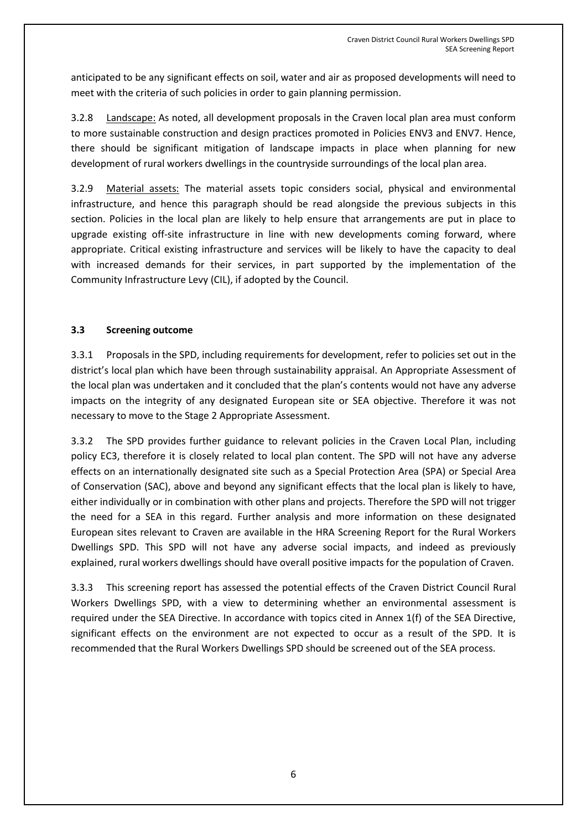anticipated to be any significant effects on soil, water and air as proposed developments will need to meet with the criteria of such policies in order to gain planning permission.

3.2.8 Landscape: As noted, all development proposals in the Craven local plan area must conform to more sustainable construction and design practices promoted in Policies ENV3 and ENV7. Hence, there should be significant mitigation of landscape impacts in place when planning for new development of rural workers dwellings in the countryside surroundings of the local plan area.

3.2.9 Material assets: The material assets topic considers social, physical and environmental infrastructure, and hence this paragraph should be read alongside the previous subjects in this section. Policies in the local plan are likely to help ensure that arrangements are put in place to upgrade existing off-site infrastructure in line with new developments coming forward, where appropriate. Critical existing infrastructure and services will be likely to have the capacity to deal with increased demands for their services, in part supported by the implementation of the Community Infrastructure Levy (CIL), if adopted by the Council.

### **3.3 Screening outcome**

3.3.1 Proposals in the SPD, including requirements for development, refer to policies set out in the district's local plan which have been through sustainability appraisal. An Appropriate Assessment of the local plan was undertaken and it concluded that the plan's contents would not have any adverse impacts on the integrity of any designated European site or SEA objective. Therefore it was not necessary to move to the Stage 2 Appropriate Assessment.

3.3.2 The SPD provides further guidance to relevant policies in the Craven Local Plan, including policy EC3, therefore it is closely related to local plan content. The SPD will not have any adverse effects on an internationally designated site such as a Special Protection Area (SPA) or Special Area of Conservation (SAC), above and beyond any significant effects that the local plan is likely to have, either individually or in combination with other plans and projects. Therefore the SPD will not trigger the need for a SEA in this regard. Further analysis and more information on these designated European sites relevant to Craven are available in the HRA Screening Report for the Rural Workers Dwellings SPD. This SPD will not have any adverse social impacts, and indeed as previously explained, rural workers dwellings should have overall positive impacts for the population of Craven.

3.3.3 This screening report has assessed the potential effects of the Craven District Council Rural Workers Dwellings SPD, with a view to determining whether an environmental assessment is required under the SEA Directive. In accordance with topics cited in Annex 1(f) of the SEA Directive, significant effects on the environment are not expected to occur as a result of the SPD. It is recommended that the Rural Workers Dwellings SPD should be screened out of the SEA process.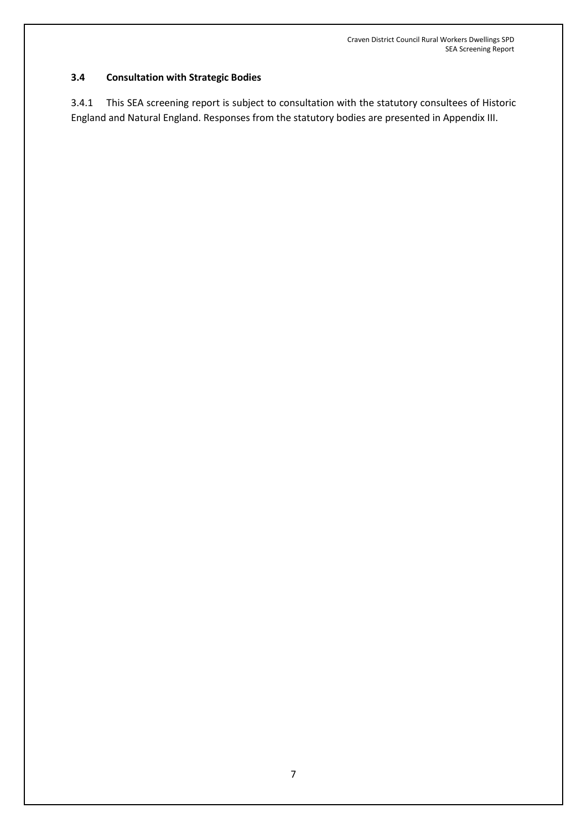## **3.4 Consultation with Strategic Bodies**

3.4.1 This SEA screening report is subject to consultation with the statutory consultees of Historic England and Natural England. Responses from the statutory bodies are presented in Appendix III.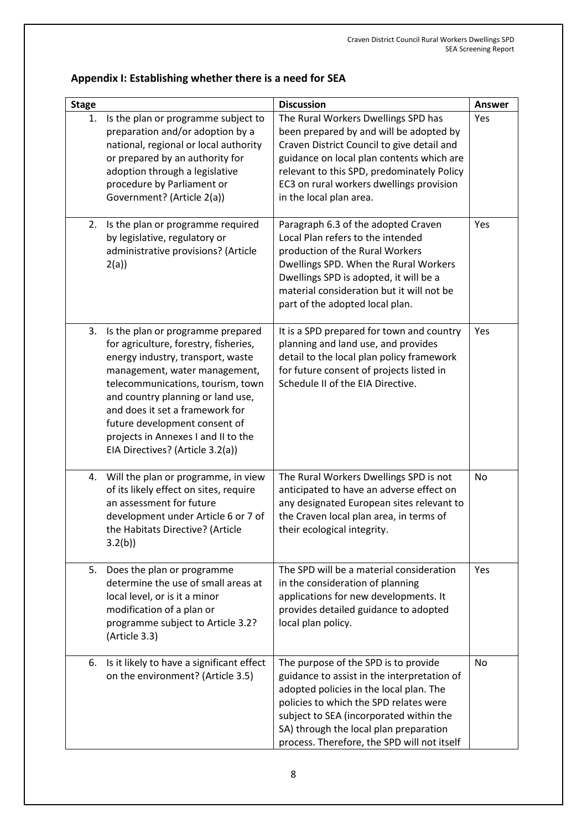|  | Appendix I: Establishing whether there is a need for SEA |  |
|--|----------------------------------------------------------|--|
|--|----------------------------------------------------------|--|

| <b>Stage</b> |                                                                                                                                                                                                                                                                                                                                                                           | <b>Discussion</b>                                                                                                                                                                                                                                                                                            | Answer |
|--------------|---------------------------------------------------------------------------------------------------------------------------------------------------------------------------------------------------------------------------------------------------------------------------------------------------------------------------------------------------------------------------|--------------------------------------------------------------------------------------------------------------------------------------------------------------------------------------------------------------------------------------------------------------------------------------------------------------|--------|
| 1.           | Is the plan or programme subject to<br>preparation and/or adoption by a<br>national, regional or local authority<br>or prepared by an authority for<br>adoption through a legislative<br>procedure by Parliament or<br>Government? (Article 2(a))                                                                                                                         | The Rural Workers Dwellings SPD has<br>been prepared by and will be adopted by<br>Craven District Council to give detail and<br>guidance on local plan contents which are<br>relevant to this SPD, predominately Policy<br>EC3 on rural workers dwellings provision<br>in the local plan area.               | Yes    |
| 2.           | Is the plan or programme required<br>by legislative, regulatory or<br>administrative provisions? (Article<br>2(a)                                                                                                                                                                                                                                                         | Paragraph 6.3 of the adopted Craven<br>Local Plan refers to the intended<br>production of the Rural Workers<br>Dwellings SPD. When the Rural Workers<br>Dwellings SPD is adopted, it will be a<br>material consideration but it will not be<br>part of the adopted local plan.                               | Yes    |
| 3.           | Is the plan or programme prepared<br>for agriculture, forestry, fisheries,<br>energy industry, transport, waste<br>management, water management,<br>telecommunications, tourism, town<br>and country planning or land use,<br>and does it set a framework for<br>future development consent of<br>projects in Annexes I and II to the<br>EIA Directives? (Article 3.2(a)) | It is a SPD prepared for town and country<br>planning and land use, and provides<br>detail to the local plan policy framework<br>for future consent of projects listed in<br>Schedule II of the EIA Directive.                                                                                               | Yes    |
| 4.           | Will the plan or programme, in view<br>of its likely effect on sites, require<br>an assessment for future<br>development under Article 6 or 7 of<br>the Habitats Directive? (Article<br>3.2(b)                                                                                                                                                                            | The Rural Workers Dwellings SPD is not<br>anticipated to have an adverse effect on<br>any designated European sites relevant to<br>the Craven local plan area, in terms of<br>their ecological integrity.                                                                                                    | No     |
| 5.           | Does the plan or programme<br>determine the use of small areas at<br>local level, or is it a minor<br>modification of a plan or<br>programme subject to Article 3.2?<br>(Article 3.3)                                                                                                                                                                                     | The SPD will be a material consideration<br>in the consideration of planning<br>applications for new developments. It<br>provides detailed guidance to adopted<br>local plan policy.                                                                                                                         | Yes    |
| 6.           | Is it likely to have a significant effect<br>on the environment? (Article 3.5)                                                                                                                                                                                                                                                                                            | The purpose of the SPD is to provide<br>guidance to assist in the interpretation of<br>adopted policies in the local plan. The<br>policies to which the SPD relates were<br>subject to SEA (incorporated within the<br>SA) through the local plan preparation<br>process. Therefore, the SPD will not itself | No     |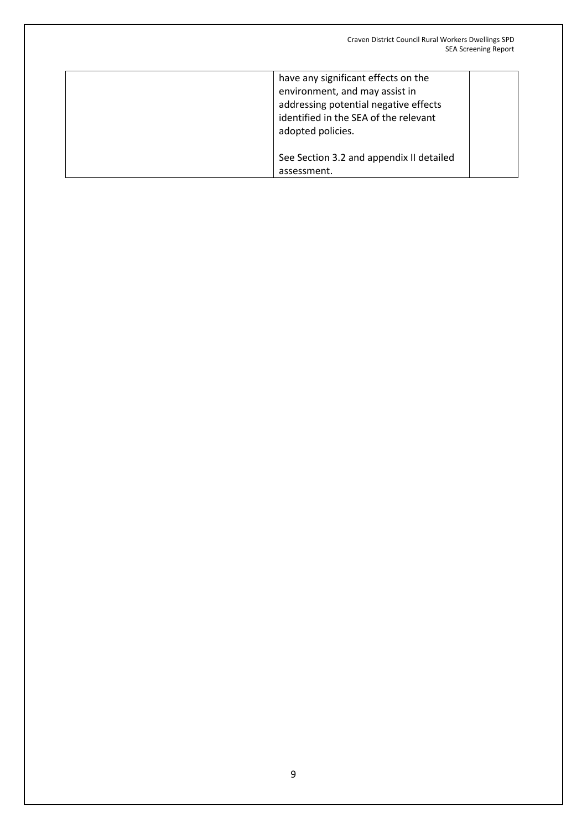| have any significant effects on the<br>environment, and may assist in<br>addressing potential negative effects<br>identified in the SEA of the relevant<br>adopted policies. |
|------------------------------------------------------------------------------------------------------------------------------------------------------------------------------|
| See Section 3.2 and appendix II detailed<br>assessment.                                                                                                                      |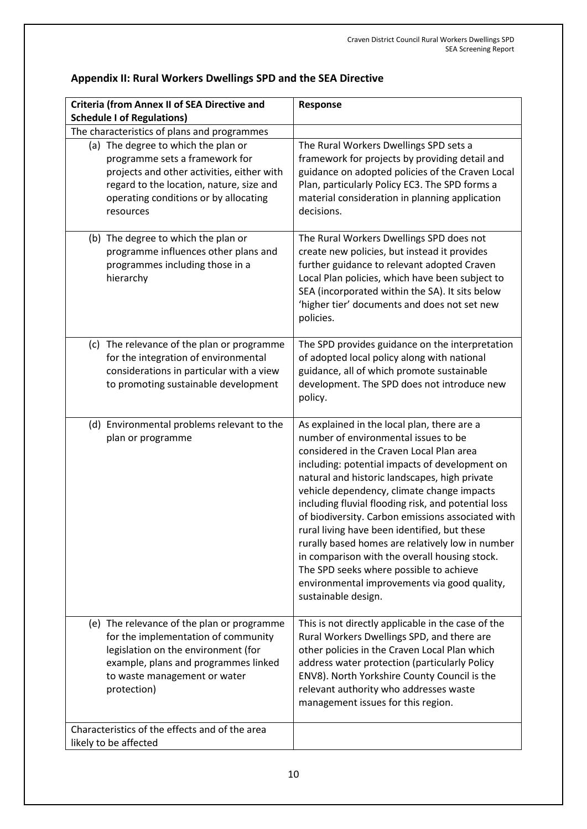| <b>Criteria (from Annex II of SEA Directive and</b><br><b>Schedule I of Regulations)</b>                                                                                                                                                                     | Response                                                                                                                                                                                                                                                                                                                                                                                                                                                                                                                                                                                                                                                            |  |
|--------------------------------------------------------------------------------------------------------------------------------------------------------------------------------------------------------------------------------------------------------------|---------------------------------------------------------------------------------------------------------------------------------------------------------------------------------------------------------------------------------------------------------------------------------------------------------------------------------------------------------------------------------------------------------------------------------------------------------------------------------------------------------------------------------------------------------------------------------------------------------------------------------------------------------------------|--|
| The characteristics of plans and programmes                                                                                                                                                                                                                  |                                                                                                                                                                                                                                                                                                                                                                                                                                                                                                                                                                                                                                                                     |  |
| (a) The degree to which the plan or<br>programme sets a framework for<br>projects and other activities, either with<br>regard to the location, nature, size and<br>operating conditions or by allocating<br>resources<br>(b) The degree to which the plan or | The Rural Workers Dwellings SPD sets a<br>framework for projects by providing detail and<br>guidance on adopted policies of the Craven Local<br>Plan, particularly Policy EC3. The SPD forms a<br>material consideration in planning application<br>decisions.<br>The Rural Workers Dwellings SPD does not                                                                                                                                                                                                                                                                                                                                                          |  |
| programme influences other plans and<br>programmes including those in a<br>hierarchy                                                                                                                                                                         | create new policies, but instead it provides<br>further guidance to relevant adopted Craven<br>Local Plan policies, which have been subject to<br>SEA (incorporated within the SA). It sits below<br>'higher tier' documents and does not set new<br>policies.                                                                                                                                                                                                                                                                                                                                                                                                      |  |
| (c) The relevance of the plan or programme<br>for the integration of environmental<br>considerations in particular with a view<br>to promoting sustainable development                                                                                       | The SPD provides guidance on the interpretation<br>of adopted local policy along with national<br>guidance, all of which promote sustainable<br>development. The SPD does not introduce new<br>policy.                                                                                                                                                                                                                                                                                                                                                                                                                                                              |  |
| (d) Environmental problems relevant to the<br>plan or programme                                                                                                                                                                                              | As explained in the local plan, there are a<br>number of environmental issues to be<br>considered in the Craven Local Plan area<br>including: potential impacts of development on<br>natural and historic landscapes, high private<br>vehicle dependency, climate change impacts<br>including fluvial flooding risk, and potential loss<br>of biodiversity. Carbon emissions associated with<br>rural living have been identified, but these<br>rurally based homes are relatively low in number<br>in comparison with the overall housing stock.<br>The SPD seeks where possible to achieve<br>environmental improvements via good quality,<br>sustainable design. |  |
| (e) The relevance of the plan or programme<br>for the implementation of community<br>legislation on the environment (for<br>example, plans and programmes linked<br>to waste management or water<br>protection)                                              | This is not directly applicable in the case of the<br>Rural Workers Dwellings SPD, and there are<br>other policies in the Craven Local Plan which<br>address water protection (particularly Policy<br>ENV8). North Yorkshire County Council is the<br>relevant authority who addresses waste<br>management issues for this region.                                                                                                                                                                                                                                                                                                                                  |  |
| Characteristics of the effects and of the area<br>likely to be affected                                                                                                                                                                                      |                                                                                                                                                                                                                                                                                                                                                                                                                                                                                                                                                                                                                                                                     |  |

# **Appendix II: Rural Workers Dwellings SPD and the SEA Directive**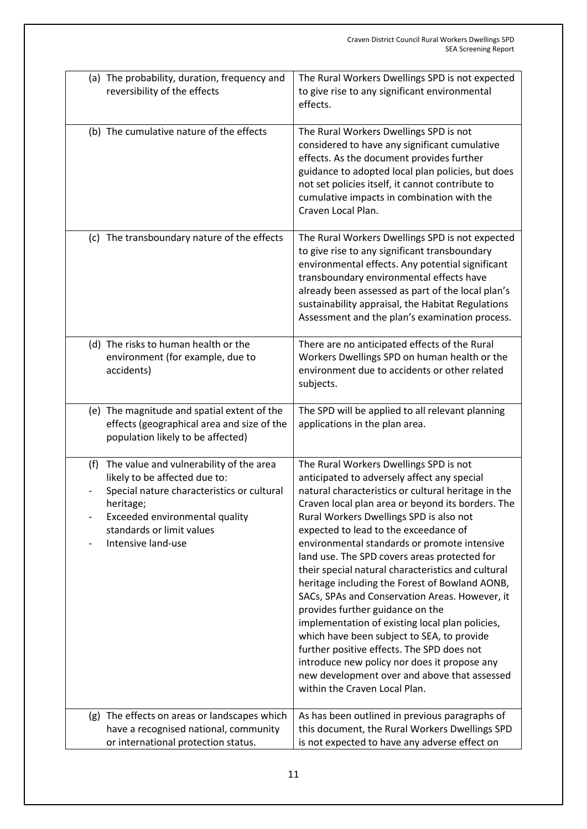|     | (a) The probability, duration, frequency and<br>reversibility of the effects                                                                                                                                             | The Rural Workers Dwellings SPD is not expected<br>to give rise to any significant environmental<br>effects.                                                                                                                                                                                                                                                                                                                                                                                                                                                                                                                                                                                                                                                                                                                                                        |
|-----|--------------------------------------------------------------------------------------------------------------------------------------------------------------------------------------------------------------------------|---------------------------------------------------------------------------------------------------------------------------------------------------------------------------------------------------------------------------------------------------------------------------------------------------------------------------------------------------------------------------------------------------------------------------------------------------------------------------------------------------------------------------------------------------------------------------------------------------------------------------------------------------------------------------------------------------------------------------------------------------------------------------------------------------------------------------------------------------------------------|
|     | (b) The cumulative nature of the effects                                                                                                                                                                                 | The Rural Workers Dwellings SPD is not<br>considered to have any significant cumulative<br>effects. As the document provides further<br>guidance to adopted local plan policies, but does<br>not set policies itself, it cannot contribute to<br>cumulative impacts in combination with the<br>Craven Local Plan.                                                                                                                                                                                                                                                                                                                                                                                                                                                                                                                                                   |
|     | (c) The transboundary nature of the effects                                                                                                                                                                              | The Rural Workers Dwellings SPD is not expected<br>to give rise to any significant transboundary<br>environmental effects. Any potential significant<br>transboundary environmental effects have<br>already been assessed as part of the local plan's<br>sustainability appraisal, the Habitat Regulations<br>Assessment and the plan's examination process.                                                                                                                                                                                                                                                                                                                                                                                                                                                                                                        |
|     | (d) The risks to human health or the<br>environment (for example, due to<br>accidents)                                                                                                                                   | There are no anticipated effects of the Rural<br>Workers Dwellings SPD on human health or the<br>environment due to accidents or other related<br>subjects.                                                                                                                                                                                                                                                                                                                                                                                                                                                                                                                                                                                                                                                                                                         |
|     | (e) The magnitude and spatial extent of the<br>effects (geographical area and size of the<br>population likely to be affected)                                                                                           | The SPD will be applied to all relevant planning<br>applications in the plan area.                                                                                                                                                                                                                                                                                                                                                                                                                                                                                                                                                                                                                                                                                                                                                                                  |
| (f) | The value and vulnerability of the area<br>likely to be affected due to:<br>Special nature characteristics or cultural<br>heritage;<br>Exceeded environmental quality<br>standards or limit values<br>Intensive land-use | The Rural Workers Dwellings SPD is not<br>anticipated to adversely affect any special<br>natural characteristics or cultural heritage in the<br>Craven local plan area or beyond its borders. The<br>Rural Workers Dwellings SPD is also not<br>expected to lead to the exceedance of<br>environmental standards or promote intensive<br>land use. The SPD covers areas protected for<br>their special natural characteristics and cultural<br>heritage including the Forest of Bowland AONB,<br>SACs, SPAs and Conservation Areas. However, it<br>provides further guidance on the<br>implementation of existing local plan policies,<br>which have been subject to SEA, to provide<br>further positive effects. The SPD does not<br>introduce new policy nor does it propose any<br>new development over and above that assessed<br>within the Craven Local Plan. |
|     | (g) The effects on areas or landscapes which<br>have a recognised national, community<br>or international protection status.                                                                                             | As has been outlined in previous paragraphs of<br>this document, the Rural Workers Dwellings SPD<br>is not expected to have any adverse effect on                                                                                                                                                                                                                                                                                                                                                                                                                                                                                                                                                                                                                                                                                                                   |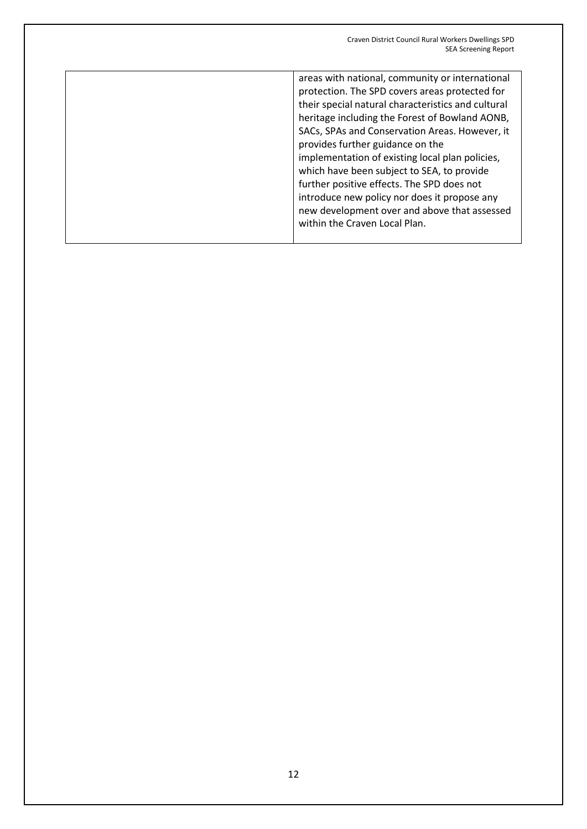areas with national, community or international protection. The SPD covers areas protected for their special natural characteristics and cultural heritage including the Forest of Bowland AONB, SACs, SPAs and Conservation Areas. However, it provides further guidance on the implementation of existing local plan policies, which have been subject to SEA, to provide further positive effects. The SPD does not introduce new policy nor does it propose any new development over and above that assessed within the Craven Local Plan.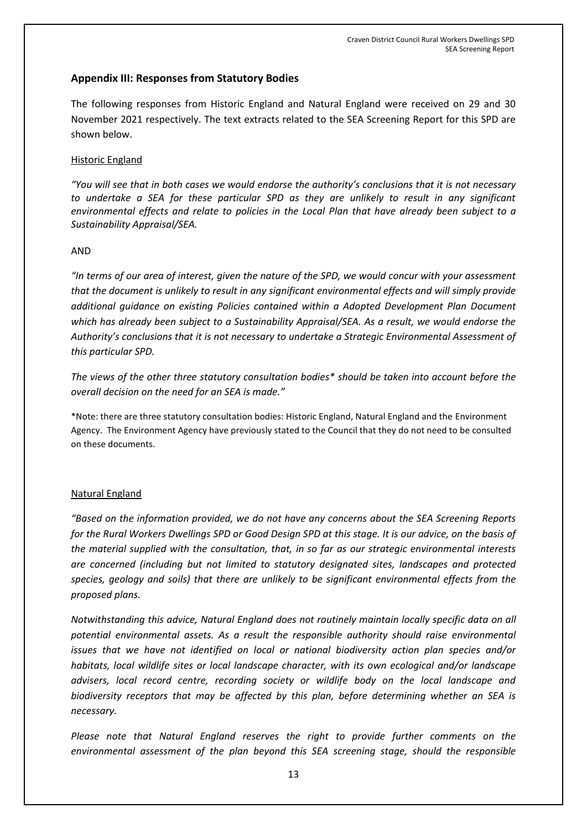## **Appendix III: Responses from Statutory Bodies**

The following responses from Historic England and Natural England were received on 29 and 30 November 2021 respectively. The text extracts related to the SEA Screening Report for this SPD are shown below.

#### Historic England

*"You will see that in both cases we would endorse the authority's conclusions that it is not necessary to undertake a SEA for these particular SPD as they are unlikely to result in any significant environmental effects and relate to policies in the Local Plan that have already been subject to a Sustainability Appraisal/SEA.* 

#### AND

*"In terms of our area of interest, given the nature of the SPD, we would concur with your assessment that the document is unlikely to result in any significant environmental effects and will simply provide additional guidance on existing Policies contained within a Adopted Development Plan Document which has already been subject to a Sustainability Appraisal/SEA. As a result, we would endorse the Authority's conclusions that it is not necessary to undertake a Strategic Environmental Assessment of this particular SPD.* 

*The views of the other three statutory consultation bodies\* should be taken into account before the overall decision on the need for an SEA is made."*

\*Note: there are three statutory consultation bodies: Historic England, Natural England and the Environment Agency. The Environment Agency have previously stated to the Council that they do not need to be consulted on these documents.

#### Natural England

*"Based on the information provided, we do not have any concerns about the SEA Screening Reports for the Rural Workers Dwellings SPD or Good Design SPD at this stage. It is our advice, on the basis of the material supplied with the consultation, that, in so far as our strategic environmental interests are concerned (including but not limited to statutory designated sites, landscapes and protected species, geology and soils) that there are unlikely to be significant environmental effects from the proposed plans.* 

*Notwithstanding this advice, Natural England does not routinely maintain locally specific data on all potential environmental assets. As a result the responsible authority should raise environmental issues that we have not identified on local or national biodiversity action plan species and/or habitats, local wildlife sites or local landscape character, with its own ecological and/or landscape advisers, local record centre, recording society or wildlife body on the local landscape and biodiversity receptors that may be affected by this plan, before determining whether an SEA is necessary.* 

*Please note that Natural England reserves the right to provide further comments on the environmental assessment of the plan beyond this SEA screening stage, should the responsible*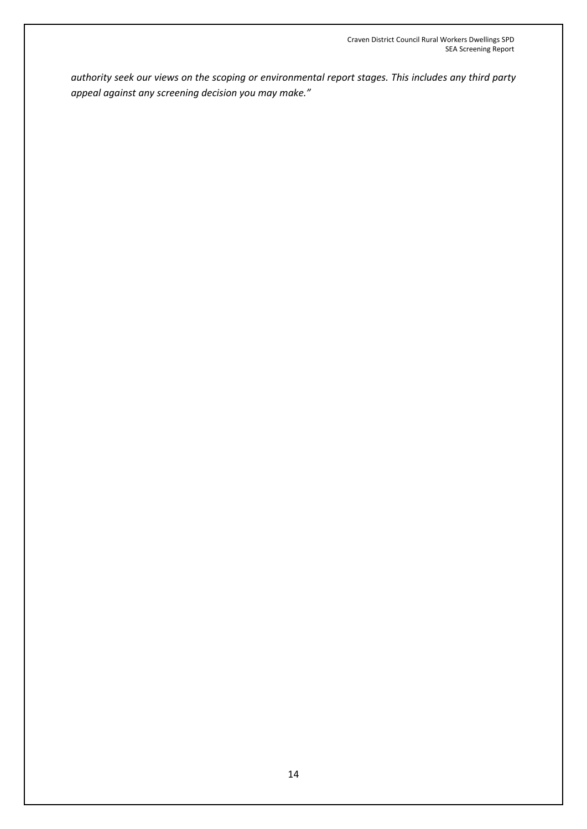*authority seek our views on the scoping or environmental report stages. This includes any third party appeal against any screening decision you may make."*